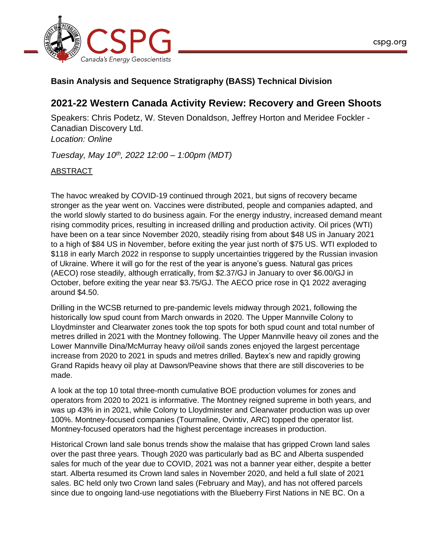



## **Basin Analysis and Sequence Stratigraphy (BASS) Technical Division**

## **2021-22 Western Canada Activity Review: Recovery and Green Shoots**

Speakers: Chris Podetz, W. Steven Donaldson, Jeffrey Horton and Meridee Fockler - Canadian Discovery Ltd. *Location: Online*

*Tuesday, May 10th, 2022 12:00 – 1:00pm (MDT)*

## ABSTRACT

The havoc wreaked by COVID-19 continued through 2021, but signs of recovery became stronger as the year went on. Vaccines were distributed, people and companies adapted, and the world slowly started to do business again. For the energy industry, increased demand meant rising commodity prices, resulting in increased drilling and production activity. Oil prices (WTI) have been on a tear since November 2020, steadily rising from about \$48 US in January 2021 to a high of \$84 US in November, before exiting the year just north of \$75 US. WTI exploded to \$118 in early March 2022 in response to supply uncertainties triggered by the Russian invasion of Ukraine. Where it will go for the rest of the year is anyone's guess. Natural gas prices (AECO) rose steadily, although erratically, from \$2.37/GJ in January to over \$6.00/GJ in October, before exiting the year near \$3.75/GJ. The AECO price rose in Q1 2022 averaging around \$4.50.

Drilling in the WCSB returned to pre-pandemic levels midway through 2021, following the historically low spud count from March onwards in 2020. The Upper Mannville Colony to Lloydminster and Clearwater zones took the top spots for both spud count and total number of metres drilled in 2021 with the Montney following. The Upper Mannville heavy oil zones and the Lower Mannville Dina/McMurray heavy oil/oil sands zones enjoyed the largest percentage increase from 2020 to 2021 in spuds and metres drilled. Baytex's new and rapidly growing Grand Rapids heavy oil play at Dawson/Peavine shows that there are still discoveries to be made.

A look at the top 10 total three-month cumulative BOE production volumes for zones and operators from 2020 to 2021 is informative. The Montney reigned supreme in both years, and was up 43% in in 2021, while Colony to Lloydminster and Clearwater production was up over 100%. Montney-focused companies (Tourmaline, Ovintiv, ARC) topped the operator list. Montney-focused operators had the highest percentage increases in production.

Historical Crown land sale bonus trends show the malaise that has gripped Crown land sales over the past three years. Though 2020 was particularly bad as BC and Alberta suspended sales for much of the year due to COVID, 2021 was not a banner year either, despite a better start. Alberta resumed its Crown land sales in November 2020, and held a full slate of 2021 sales. BC held only two Crown land sales (February and May), and has not offered parcels since due to ongoing land-use negotiations with the Blueberry First Nations in NE BC. On a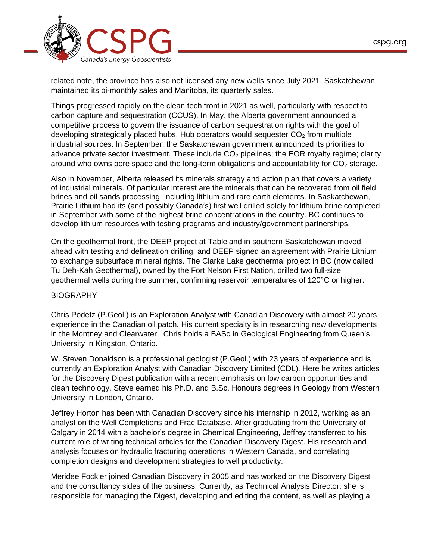

related note, the province has also not licensed any new wells since July 2021. Saskatchewan maintained its bi-monthly sales and Manitoba, its quarterly sales.

Things progressed rapidly on the clean tech front in 2021 as well, particularly with respect to carbon capture and sequestration (CCUS). In May, the Alberta government announced a competitive process to govern the issuance of carbon sequestration rights with the goal of developing strategically placed hubs. Hub operators would sequester  $CO<sub>2</sub>$  from multiple industrial sources. In September, the Saskatchewan government announced its priorities to advance private sector investment. These include  $CO<sub>2</sub>$  pipelines; the EOR royalty regime; clarity around who owns pore space and the long-term obligations and accountability for  $CO<sub>2</sub>$  storage.

Also in November, Alberta released its minerals strategy and action plan that covers a variety of industrial minerals. Of particular interest are the minerals that can be recovered from oil field brines and oil sands processing, including lithium and rare earth elements. In Saskatchewan, Prairie Lithium had its (and possibly Canada's) first well drilled solely for lithium brine completed in September with some of the highest brine concentrations in the country. BC continues to develop lithium resources with testing programs and industry/government partnerships.

On the geothermal front, the DEEP project at Tableland in southern Saskatchewan moved ahead with testing and delineation drilling, and DEEP signed an agreement with Prairie Lithium to exchange subsurface mineral rights. The Clarke Lake geothermal project in BC (now called Tu Deh-Kah Geothermal), owned by the Fort Nelson First Nation, drilled two full-size geothermal wells during the summer, confirming reservoir temperatures of 120°C or higher.

## BIOGRAPHY

Chris Podetz (P.Geol.) is an Exploration Analyst with Canadian Discovery with almost 20 years experience in the Canadian oil patch. His current specialty is in researching new developments in the Montney and Clearwater. Chris holds a BASc in Geological Engineering from Queen's University in Kingston, Ontario.

W. Steven Donaldson is a professional geologist (P.Geol.) with 23 years of experience and is currently an Exploration Analyst with Canadian Discovery Limited (CDL). Here he writes articles for the Discovery Digest publication with a recent emphasis on low carbon opportunities and clean technology. Steve earned his Ph.D. and B.Sc. Honours degrees in Geology from Western University in London, Ontario.

Jeffrey Horton has been with Canadian Discovery since his internship in 2012, working as an analyst on the Well Completions and Frac Database. After graduating from the University of Calgary in 2014 with a bachelor's degree in Chemical Engineering, Jeffrey transferred to his current role of writing technical articles for the Canadian Discovery Digest. His research and analysis focuses on hydraulic fracturing operations in Western Canada, and correlating completion designs and development strategies to well productivity.

Meridee Fockler joined Canadian Discovery in 2005 and has worked on the Discovery Digest and the consultancy sides of the business. Currently, as Technical Analysis Director, she is responsible for managing the Digest, developing and editing the content, as well as playing a